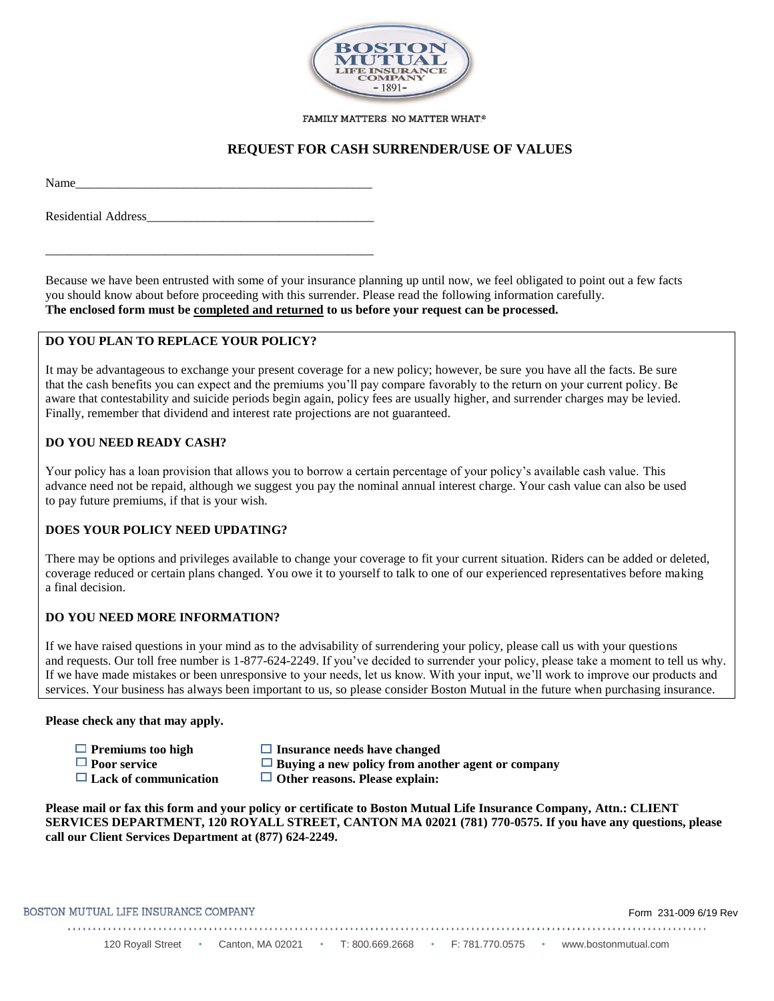

#### FAMILY MATTERS. NO MATTER WHAT.®

## **REQUEST FOR CASH SURRENDER/USE OF VALUES**

Name\_\_\_\_\_\_\_\_\_\_\_\_\_\_\_\_\_\_\_\_\_\_\_\_\_\_\_\_\_\_\_\_\_\_\_\_\_\_\_\_\_\_\_\_\_\_\_

Residential Address

\_\_\_\_\_\_\_\_\_\_\_\_\_\_\_\_\_\_\_\_\_\_\_\_\_\_\_\_\_\_\_\_\_\_\_\_\_\_\_\_\_\_\_\_\_\_\_\_\_\_\_\_

Because we have been entrusted with some of your insurance planning up until now, we feel obligated to point out a few facts you should know about before proceeding with this surrender. Please read the following information carefully. **The enclosed form must be completed and returned to us before your request can be processed.**

### **DO YOU PLAN TO REPLACE YOUR POLICY?**

It may be advantageous to exchange your present coverage for a new policy; however, be sure you have all the facts. Be sure that the cash benefits you can expect and the premiums you'll pay compare favorably to the return on your current policy. Be aware that contestability and suicide periods begin again, policy fees are usually higher, and surrender charges may be levied. Finally, remember that dividend and interest rate projections are not guaranteed.

### **DO YOU NEED READY CASH?**

Your policy has a loan provision that allows you to borrow a certain percentage of your policy's available cash value. This advance need not be repaid, although we suggest you pay the nominal annual interest charge. Your cash value can also be used to pay future premiums, if that is your wish.

#### **DOES YOUR POLICY NEED UPDATING?**

There may be options and privileges available to change your coverage to fit your current situation. Riders can be added or deleted, coverage reduced or certain plans changed. You owe it to yourself to talk to one of our experienced representatives before making a final decision.

### **DO YOU NEED MORE INFORMATION?**

If we have raised questions in your mind as to the advisability of surrendering your policy, please call us with your questions and requests. Our toll free number is 1-877-624-2249. If you've decided to surrender your policy, please take a moment to tell us why. If we have made mistakes or been unresponsive to your needs, let us know. With your input, we'll work to improve our products and services. Your business has always been important to us, so please consider Boston Mutual in the future when purchasing insurance.

#### **Please check any that may apply.**

- **□** Premiums too high **Insurance needs have changed**<br>□ Poor service **I** Buving a new policy from anot
- 
- 
- 
- **Poor service**  $\Box$  **Buying a new policy from another agent or company**<br>  $\Box$  **Lack of communication**  $\Box$  **Other reasons. Please explain:** 
	- □ Other reasons. Please explain:

**Please mail or fax this form and your policy or certificate to Boston Mutual Life Insurance Company, Attn.: CLIENT SERVICES DEPARTMENT, 120 ROYALL STREET, CANTON MA 02021 (781) 770-0575. If you have any questions, please call our Client Services Department at (877) 624-2249.**

BOSTON MUTUAL LIFE INSURANCE COMPANY

Form 231-009 6/19 Rev

120 Royall Street • Canton, MA 02021 • T: 800.669.2668 • F: 781.770.0575 • www.bostonmutual.com